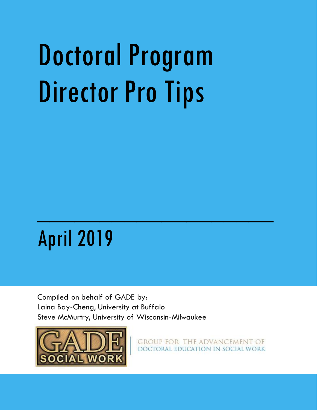# Doctoral Program Director Pro Tips

## April 2019

Compiled on behalf of GADE by: Laina Bay-Cheng, University at Buffalo Steve McMurtry, University of Wisconsin-Milwaukee

 $\mathcal{L}_\text{max}$  and  $\mathcal{L}_\text{max}$  are the set of the set of the set of the set of the set of the set of the set of the set of the set of the set of the set of the set of the set of the set of the set of the set of the set o



GROUP FOR THE ADVANCEMENT OF DOCTORAL EDUCATION IN SOCIAL WORK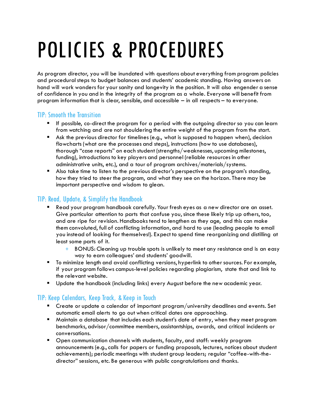# POLICIES & PROCEDURES

As program director, you will be inundated with questions about everything from program policies and procedural steps to budget balances and students' academic standing. Having answers on hand will work wonders for your sanity and longevity in the position. It will also engender a sense of confidence in you and in the integrity of the program as a whole. Everyone will benefit from program information that is clear, sensible, and accessible – in all respects – to everyone.

### TIP: Smooth the Transition

- If possible, co-direct the program for a period with the outgoing director so you can learn from watching and are not shouldering the entire weight of the program from the start.
- Ask the previous director for timelines (e.g., what is supposed to happen when), decision flowcharts (what are the processes and steps), instructions (how to use databases), thorough "case reports" on each student (strengths/weaknesses, upcoming milestones, funding), introductions to key players and personnel (reliable resources in other administrative units, etc.), and a tour of program archives/materials/systems.
- Also take time to listen to the previous director's perspective on the program's standing, how they tried to steer the program, and what they see on the horizon. There may be important perspective and wisdom to glean.

### TIP: Read, Update, & Simplifythe Handbook

- Read your program handbook carefully. Your fresh eyes as a new director are an asset. Give particular attention to parts that confuse you, since these likely trip up others, too, and are ripe for revision. Handbooks tend to lengthen as they age, and this can make them convoluted, full of conflicting information, and hard to use (leading people to email you instead of looking for themselves!). Expect to spend time reorganizing and distilling at least some parts of it.
	- + BONUS: Cleaning up trouble spots is unlikely to meet any resistance and is an easy way to earn colleagues' and students' goodwill.
- To minimize length and avoid conflicting versions, hyperlink to other sources. For example, if your program follows campus-level policies regarding plagiarism, state that and link to the relevant website.
- Update the handbook (including links) every August before the new academic year.

### TIP: Keep Calendars, Keep Track, & Keep in Touch

- Create or update a calendar of important program/university deadlines and events. Set automatic email alerts to go out when critical dates are approaching.
- Maintain a database that includes each student's date of entry, when they meet program benchmarks, advisor/committee members, assistantships, awards, and critical incidents or conversations.
- Open communication channels with students, faculty, and staff: weekly program announcements (e.g., calls for papers or funding proposals, lectures, notices about student achievements); periodic meetings with student group leaders; regular "coffee-with-thedirector" sessions, etc. Be generous with public congratulations and thanks.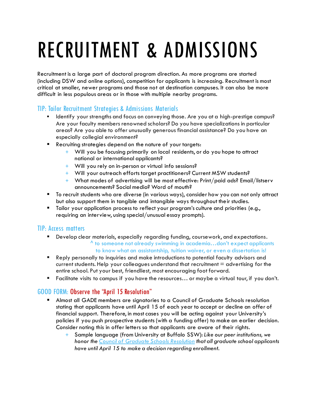# RECRUITMENT & ADMISSIONS

Recruitment is a large part of doctoral program direction. As more programs are started (including DSW and online options), competition for applicants is increasing. Recruitment is most critical at smaller, newer programs and those not at destination campuses. It can also be more difficult in less populous areas or in those with multiple nearby programs.

### TIP: Tailor Recruitment Strategies & Admissions Materials

- Identify your strengths and focus on conveying those. Are you at a high-prestige campus? Are your faculty members renowned scholars? Do you have specializations in particular areas? Are you able to offer unusually generous financial assistance? Do you have an especially collegial environment?
- **Recruiting strategies depend on the nature of your targets:** 
	- + Will you be focusing primarily on local residents, or do you hope to attract national or international applicants?
	- + Will you rely on in-person or virtual info sessions?
	- + Will your outreach efforts target practitioners? Current MSW students?
	- + What modes of advertising will be most effective: Print/paid ads? Email/listserv announcements? Social media? Word of mouth?
- To recruit students who are diverse (in various ways), consider how you can not only attract but also support them in tangible and intangible ways throughout their studies.
- Tailor your application process to reflect your program's culture and priorities (e.g., requiring an interview, using special/unusual essay prompts).

### TIP: Access matters

- Develop clear materials, especially regarding funding, coursework, and expectations.  $^{\circ}$  to someone not already swimming in academia...don't expect applicants to know what an assistantship, tuition waiver, or even a dissertation is!
- Reply personally to inquiries and make introductions to potential faculty advisors and current students. Help your colleagues understand that recruitment  $=$  advertising for the entire school. Put your best, friendliest, most encouraging foot forward.
- Facilitate visits to campus if you have the resources… or maybe a virtual tour, if you don't.

### GOOD FORM: Observe the "April 15 Resolution"

- Almost all GADE members are signatories to a Council of Graduate Schools resolution stating that applicants have until April 15 of each year to accept or decline an offer of financial support. Therefore, in most cases you will be acting against your University's policies if you push prospective students (with a funding offer) to make an earlier decision. Consider noting this in offer letters so that applicants are aware of their rights.
	- + Sample language (from University at Buffalo SSW): *Like our peer institutions, we honor the [Council of Graduate Schools Resolution](http://cgsnet.org/april-15-resolution) that all graduate school applicants have until April 15 to make a decision regarding enrollment.*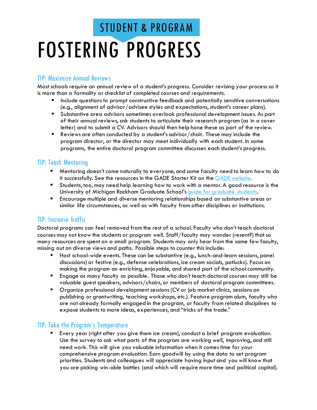### FOSTERING PROGRESS STUDENT & PROGRAM

#### TIP: Maximize Annual Reviews

Most schools require an annual review of a student's progress. Consider revising your process so it is more than a formality or checklist of completed courses and requirements.

- **Include questions to prompt constructive feedback and potentially sensitive conversations** (e.g., alignment of advisor/advisee styles and expectations, student's career plans).
- Substantive area advisors sometimes overlook professional development issues. As part of their annual reviews, ask students to articulate their research program (as in a cover letter) and to submit a CV. Advisors should then help hone these as part of the review.
- Reviews are often conducted by a student's advisor/chair. These may include the program director, or the director may meet individually with each student. In some programs, the entire doctoral program committee discusses each student's progress.

### TIP: Teach Mentoring

- Mentoring doesn't come naturally to everyone, and some faculty need to learn how to do it successfully. See the resources in the GADE Starter Kit on the [GADE website.](http://www.gadephd.org/Resources/Mentoring-Doctoral-Students)
- Students, too, may need help learning how to work with a mentor. A good resource is the University of Michigan Rackham Graduate School'[s guide for graduate students.](http://www.rackham.umich.edu/downloads/publications/mentoring.pdf)
- Encourage multiple and diverse mentoring relationships based on substantive areas or similar life circumstances, as well as with faculty from other disciplines or institutions.

### TIP: Increase Traffic

Doctoral programs can feel removed from the rest of a school. Faculty who don't teach doctoral courses may not know the students or program well. Staff/faculty may wonder (resent?) that so many resources are spent on a small program. Students may only hear from the same few faculty, missing out on diverse views and paths. Possible steps to counter this include:

- Host school-wide events. These can be substantive (e.g., lunch-and-learn sessions, panel discussions) or festive (e.g., defense celebrations, ice cream socials, potlucks). Focus on making the program an enriching, enjoyable, and shared part of the school community.
- Engage as many faculty as possible. Those who don't teach doctoral courses may still be valuable guest speakers, advisors/chairs, or members of doctoral program committees.
- Organize professional development sessions (CV or job market clinics, sessions on publishing or grantwriting, teaching workshops, etc.). Feature program alum, faculty who are not already formally engaged in the program, or faculty from related disciplines to expose students to more ideas, experiences, and "tricks of the trade."

### TIP: Take the Program's Temperature

 Every year (right after you give them ice cream), conduct a brief program evaluation. Use the survey to ask what parts of the program are working well, improving, and still need work. This will give you valuable information when it comes time for your comprehensive program evaluation. Earn goodwill by using the data to set program priorities. Students and colleagues will appreciate having input and you will know that you are picking win-able battles (and which will require more time and political capital).